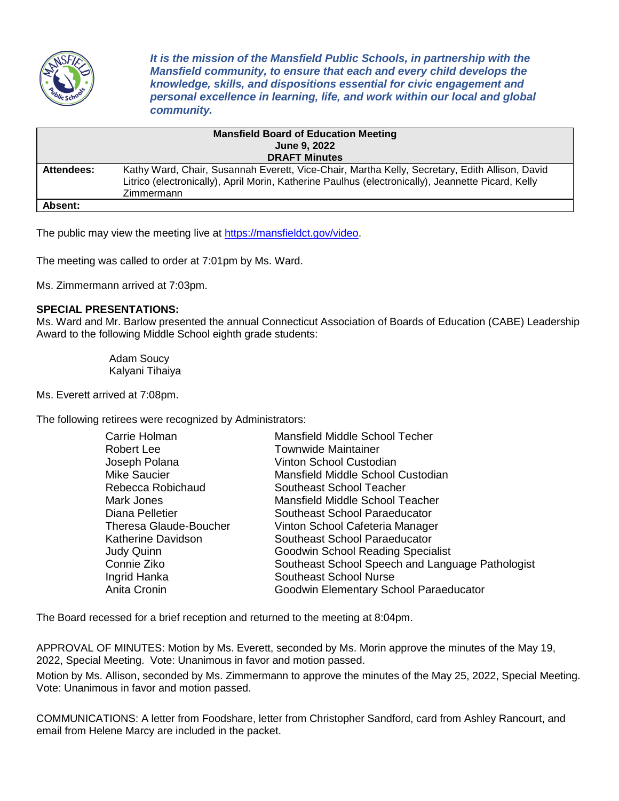

*It is the mission of the Mansfield Public Schools, in partnership with the Mansfield community, to ensure that each and every child develops the knowledge, skills, and dispositions essential for civic engagement and personal excellence in learning, life, and work within our local and global community.*

| <b>Mansfield Board of Education Meeting</b> |                                                                                                                                                                                                                    |  |
|---------------------------------------------|--------------------------------------------------------------------------------------------------------------------------------------------------------------------------------------------------------------------|--|
|                                             | <b>June 9, 2022</b>                                                                                                                                                                                                |  |
| <b>DRAFT Minutes</b>                        |                                                                                                                                                                                                                    |  |
| Attendees:                                  | Kathy Ward, Chair, Susannah Everett, Vice-Chair, Martha Kelly, Secretary, Edith Allison, David<br>Litrico (electronically), April Morin, Katherine Paulhus (electronically), Jeannette Picard, Kelly<br>Zimmermann |  |
| Absent:                                     |                                                                                                                                                                                                                    |  |

The public may view the meeting live at [https://mansfieldct.gov/video.](https://mansfieldct.gov/video)

The meeting was called to order at 7:01pm by Ms. Ward.

Ms. Zimmermann arrived at 7:03pm.

## **SPECIAL PRESENTATIONS:**

Ms. Ward and Mr. Barlow presented the annual Connecticut Association of Boards of Education (CABE) Leadership Award to the following Middle School eighth grade students:

> Adam Soucy Kalyani Tihaiya

Ms. Everett arrived at 7:08pm.

The following retirees were recognized by Administrators:

| Carrie Holman                 | Mansfield Middle School Techer                   |
|-------------------------------|--------------------------------------------------|
| <b>Robert Lee</b>             | <b>Townwide Maintainer</b>                       |
| Joseph Polana                 | Vinton School Custodian                          |
| <b>Mike Saucier</b>           | Mansfield Middle School Custodian                |
| Rebecca Robichaud             | Southeast School Teacher                         |
| Mark Jones                    | Mansfield Middle School Teacher                  |
| Diana Pelletier               | Southeast School Paraeducator                    |
| <b>Theresa Glaude-Boucher</b> | Vinton School Cafeteria Manager                  |
| <b>Katherine Davidson</b>     | Southeast School Paraeducator                    |
| Judy Quinn                    | Goodwin School Reading Specialist                |
| Connie Ziko                   | Southeast School Speech and Language Pathologist |
| Ingrid Hanka                  | <b>Southeast School Nurse</b>                    |
| Anita Cronin                  | Goodwin Elementary School Paraeducator           |

The Board recessed for a brief reception and returned to the meeting at 8:04pm.

APPROVAL OF MINUTES: Motion by Ms. Everett, seconded by Ms. Morin approve the minutes of the May 19, 2022, Special Meeting. Vote: Unanimous in favor and motion passed.

Motion by Ms. Allison, seconded by Ms. Zimmermann to approve the minutes of the May 25, 2022, Special Meeting. Vote: Unanimous in favor and motion passed.

COMMUNICATIONS: A letter from Foodshare, letter from Christopher Sandford, card from Ashley Rancourt, and email from Helene Marcy are included in the packet.